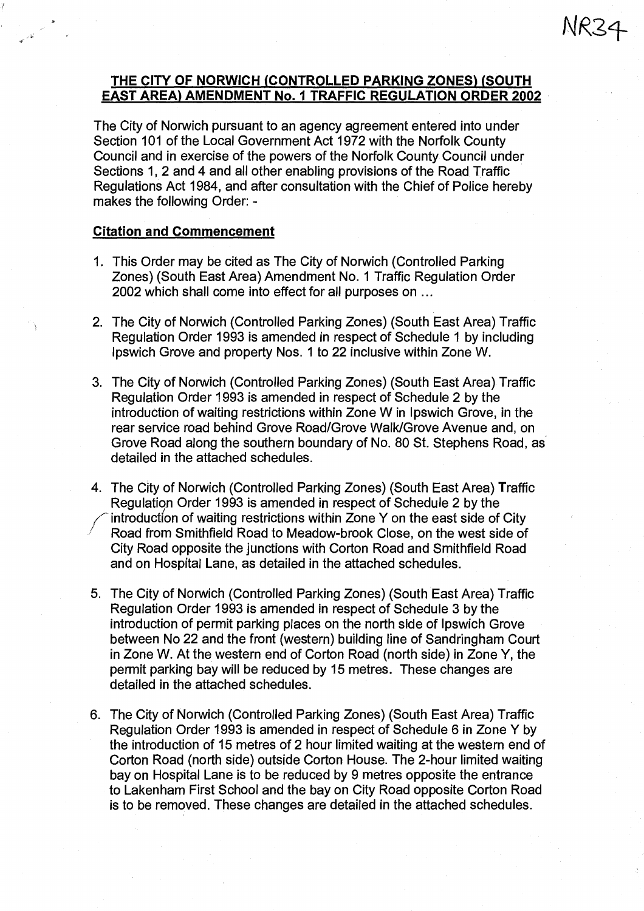## **THE CITY OF NORWICH (CONTROLLED PARKING ZONES) (SOUTH EAST AREA) AMENDMENT No. 1 TRAFFIC REGULATION ORDER 2002**

The City of Norwich pursuant to an agency agreement entered into under Section 101 of the Local Government Act 1972 with the Norfolk County Council and in exercise of the powers of the Norfolk County Council under Sections 1, 2 and 4 and all other enabling provisions of the Road Traffic Regulations Act 1984, and after consultation with the Chief of Police hereby makes the following Order: -

#### **Citation and Commencement**

- 1. This Order may be cited as The City of Norwich (Controlled Parking Zones) (South East Area) Amendment No. 1 Traffic Regulation Order 2002 which shall come into effect for all purposes on ...
- 2. The City of Norwich (Controlled Parking Zones) (South East Area) Traffic Regulation Order 1993 is amended in respect of Schedule 1 by including Ipswich Grove and property Nos. 1 to 22 inclusive within Zone W.
- 3. The City of Norwich (Controlled Parking Zones) (South East Area) Traffic Regulation Order 1993 is amended in respect of Schedule 2 by the introduction of waiting restrictions within Zone W in Ipswich Grove, in the rear service road behind Grove Road/Grove Walk/Grove Avenue and, on Grove Road along the southern boundary of No. 80 St. Stephens Road, as detailed in the attached schedules.
- 4. The City of Norwich (Controlled Parking Zones) (South East Area) Traffic Regulation Order 1993 is amended in respect of Schedule 2 by the introduction of waiting restrictions within Zone Y on the east side of City Road from Smithfield Road to Meadow-brook Close, on the west side of City Road opposite the junctions with Corton Road and Smithfield Road and on Hospital Lane, as detailed in the attached schedules.
- 5. The City of Norwich (Controlled Parking Zones) (South East Area) Traffic Regulation Order 1993 is amended in respect of Schedule 3 by the introduction of permit parking places on the north side of Ipswich Grove between No 22 and the front (western) building line of Sandringham Court in Zone W. At the western end of Corton Road (north side) in Zone Y, the permit parking bay will be reduced by 15 metres. These changes are detailed in the attached schedules.
- 6. The City of Norwich (Controlled Parking Zones) (South East Area) Traffic Regulation Order 1993 is amended in respect of Schedule 6 in Zone Y by the introduction of 15 metres of 2 hour limited waiting at the western end of Corton Road (north side) outside Corton House. The 2-hour limited waiting bay on Hospital Lane is to be reduced by 9 metres opposite the entrance to Lakenham First School and the bay on City Road opposite Corton Road is to be removed. These changes are detailed in the attached schedules.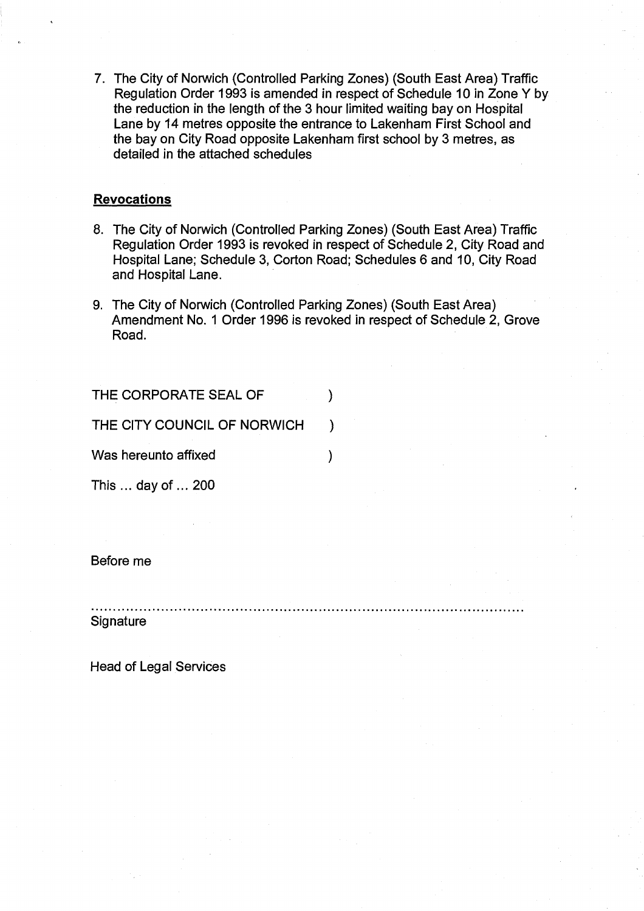7. The City of Norwich (Controlled Parking Zones) (South East Area) Traffic Regulation Order 1993 is amended in respect of Schedule 10 in Zone Y by the reduction in the length of the 3 hour limited waiting bay on Hospital Lane by 14 metres opposite the entrance to Lakenham First School and the bay on City Road opposite Lakenham first school by 3 metres, as detailed in the attached schedules

#### **Revocations**

- 8. The City of Norwich (Controlled Parking Zones) (South East Area) Traffic Regulation Order 1993 is revoked in respect of Schedule 2, City Road and Hospital Lane; Schedule 3, Corton Road; Schedules 6 and 10, City Road and Hospital Lane.
- 9. The City of Norwich (Controlled Parking Zones) (South East Area) Amendment No. 1 Order 1996 is revoked in respect of Schedule 2, Grove Road.

THE CORPORATE SEAL OF  $\mathcal{E}$ THE CITY COUNCIL OF NORWICH ) Was hereunto affixed  $\lambda$ This ... day of ... 200

Before me

**Signature** 

Head of Legal Services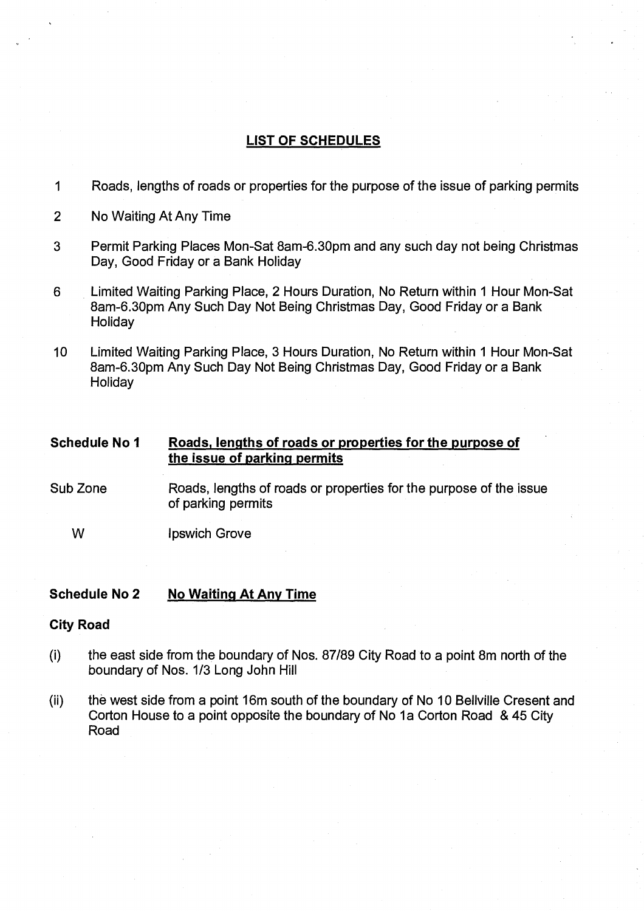# **LIST OF SCHEDULES**

- 1 Roads, lengths of roads or properties for the purpose of the issue of parking permits
- 2 No Waiting At Any Time
- 3 Permit Parking Places Mon-Sat 8am-6.30pm and any such day not being Christmas Day, Good Friday or a Bank Holiday
- 6 Limited Waiting Parking Place, 2 Hours Duration, No Return within 1 Hour Mon-Sat 8am-6.30pm Any Such Day Not Being Christmas Day, Good Friday or a Bank **Holiday**
- 10 Limited Waiting Parking Place, 3 Hours Duration, No Return within 1 Hour Mon-Sat 8am-6.30pm Any Such Day Not Being Christmas Day, Good Friday or a Bank **Holiday**

| <b>Schedule No 1</b> | Roads, lengths of roads or properties for the purpose of |
|----------------------|----------------------------------------------------------|
|                      | the issue of parking permits                             |
|                      |                                                          |

- Sub Zone Roads, lengths of roads or properties for the purpose of the issue of parking permits
	- W Ipswich Grove

#### **Schedule No 2 No Waiting At Any Time**

#### **City Road**

- (i) the east side from the boundary of Nos. 87/89 City Road to a point 8m north of the boundary of Nos. 1/3 Long John Hill
- (ii) the west side from a point 16m south of the boundary of No 10 Bellville Cresent and Corton House to a point opposite the boundary of No 1a Corton Road & 45 City Road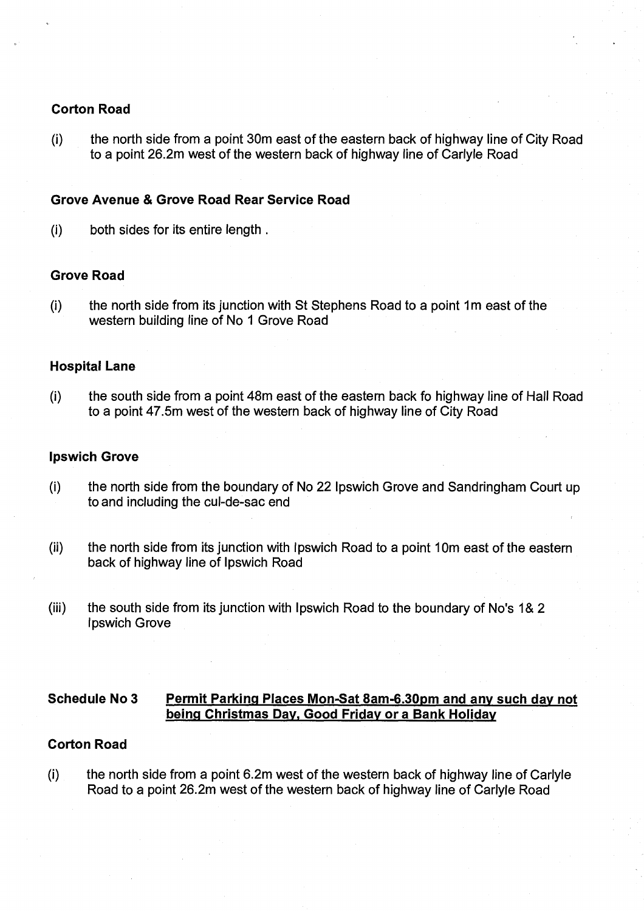## **Corton Road**

 $(i)$  the north side from a point 30m east of the eastern back of highway line of City Road to a point 26.2m west of the western back of highway line of Carlyle Road

## **Grove Avenue & Grove Road Rear Service Road**

(i) both sides for its entire length.

#### **Grove Road**

(i) the north side from its junction with St Stephens Road to a point lm east of the western building line of No 1 Grove Road

## **Hospital Lane**

(i) the south side from a point 48m east of the eastern back fo highway line of Hall Road to a point 47.5m west of the western back of highway line of City Road

#### **Ipswich Grove**

- (i) the north side from the boundary of No 22 Ipswich Grove and Sandringham Court up to and including the cul-de-sac end
- (ii) the north side from its junction with Ipswich Road to a point 10m east of the eastern back of highway line of Ipswich Road
- (iii) the south side from its junction with Ipswich Road to the boundary of No's l& 2 Ipswich Grove

## **Schedule No 3 Permit Parking Places Mon-Sat 8am-6.30pm and any such day not being Christmas Day, Good Friday or a Bank Holiday**

#### **Corton Road**

 $(i)$  the north side from a point 6.2m west of the western back of highway line of Carlyle Road to a point 26.2m west of the western back of highway line of Carlyle Road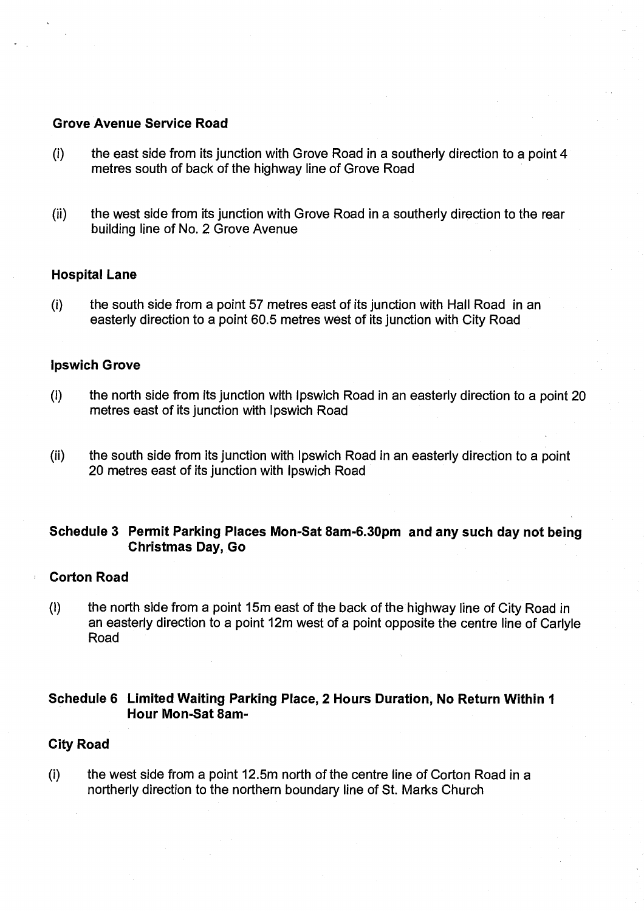## **Grove Avenue Service Road**

- $(i)$  the east side from its junction with Grove Road in a southerly direction to a point 4 metres south of back of the highway line of Grove Road
- (ii) the west side from its junction with Grove Road in a southerly direction to the rear building line of No. 2 Grove Avenue

## **Hospital Lane**

 $(i)$  the south side from a point 57 metres east of its junction with Hall Road in an easterly direction to a point 60.5 metres west of its junction with City Road

#### **Ipswich Grove**

- $(i)$  the north side from its junction with Ipswich Road in an easterly direction to a point 20 metres east of its junction with Ipswich Road
- (ii) the south side from its junction with Ipswich Road in an easterly direction to a point 20 metres east of its junction with Ipswich Road

# **Schedule 3 Permit Parking Places Mon-Sat 8am-6.30pm and any such day not being Christmas Day, Go**

#### **Corton Road**

(I) the north side from a point 15m east of the back of the highway line of City Road in an easterly direction to a point 12m west of a point opposite the centre line of Carlyle Road

## **Schedule 6 Limited Waiting Parking Place, 2 Hours Duration, No Return Within 1 Hour Mon-Sat 8am-**

## **City Road**

(i) the west side from a point 12.5m north of the centre line of Corton Road in a northerly direction to the northern boundary line of St. Marks Church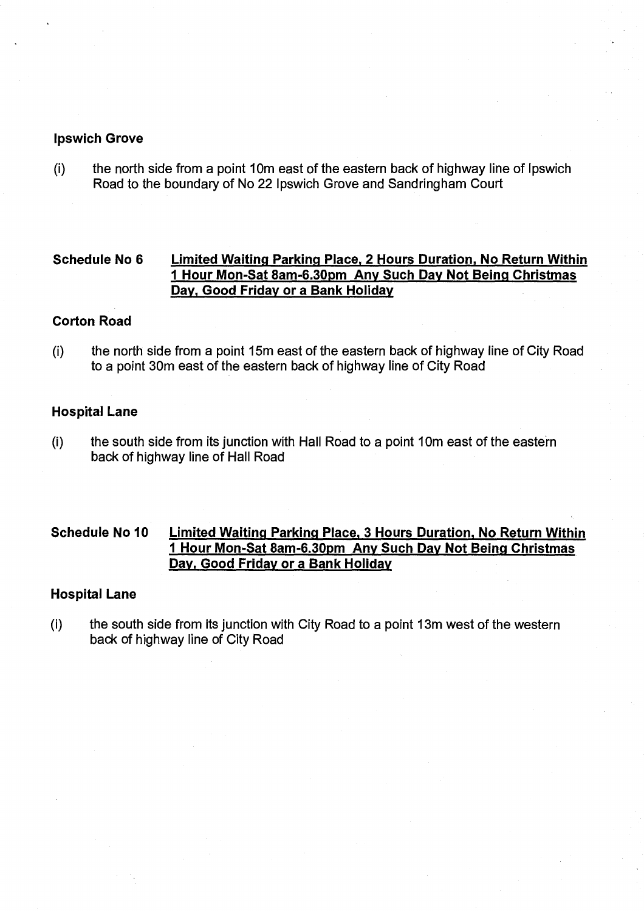## **Ipswich Grove**

(i ) the north side from a point 10m east of the eastern back of highway line of Ipswich Road to the boundary of No 22 Ipswich Grove and Sandringham Court

# **Schedule No 6 Limited Waiting Parking Place, 2 Hours Duration, No Return Within 1 Hour Mon-Sat 8am-6.30pm Any Such Day Not Being Christmas Day, Good Friday or a Bank Holiday**

## **Corton Road**

 $(i)$ the north side from a point 15m east of the eastern back of highway line of City Road to a point 30m east of the eastern back of highway line of City Road

## **Hospital Lane**

(i) the south side from its junction with Hall Road to a point 10m east of the eastern back of highway line of Hall Road

# **Schedule No 10 Limited Waiting Parking Place, 3 Hours Duration, No Return Within 1 Hour Mon-Sat 8am-6.30pm Any Such Day Not Being Christmas Day, Good Friday or a Bank Holiday**

## **Hospital Lane**

(i) the south side from its junction with City Road to a point 13m west of the western back of highway line of City Road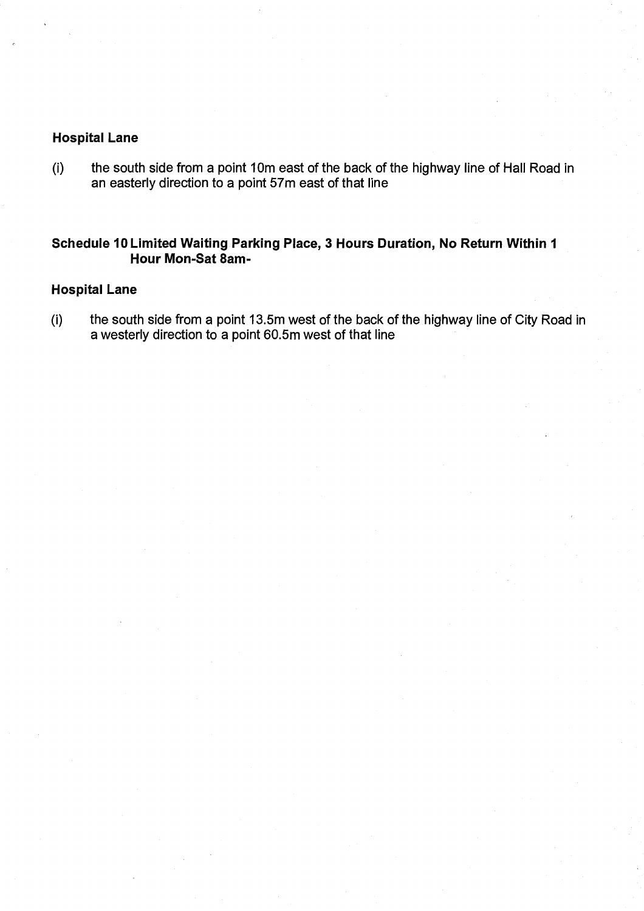# **Hospital Lane**

the south side from a point 10m east of the back of the highway line of Hall Road in  $(i)$ an easterly direction to a point 57m east of that line

# **Schedule 10 Limited Waiting Parking Place, 3 Hours Duration, No Return Within 1 Hour Mon-Sat 8am-**

## **Hospital Lane**

(i) the south side from a point 13.5m west of the back of the highway line of City Road in a westerly direction to a point 60.5m west of that line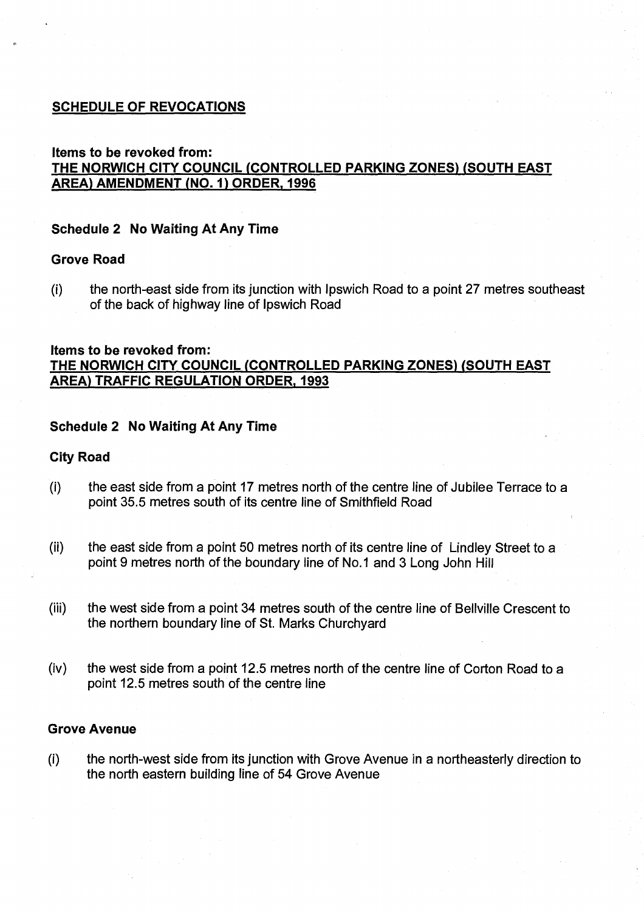# **SCHEDULE OF REVOCATIONS**

# **Items to be revoked from: THE NORWICH CITY COUNCIL (CONTROLLED PARKING ZONES) (SOUTH EAST AREA) AMENDMENT (NO. 1) ORDER, 1996**

## **Schedule 2 No Waiting At Any Time**

## **Grove Road**

(I) the north-east side from its junction with Ipswich Road to a point 27 metres southeast of the back of highway line of Ipswich Road

#### **Items to be revoked from:**

**THE NORWICH CITY COUNCIL (CONTROLLED PARKING ZONES) (SOUTH EAST AREA) TRAFFIC REGULATION ORDER, 1993** 

## **Schedule 2 No Waiting At Any Time**

#### **City Road**

- (i) the east side from a point 17 metres north of the centre line of Jubilee Terrace to a point 35.5 metres south of its centre line of Smithfield Road
- (ii) the east side from a point 50 metres north of its centre line of Lindley Street to a point 9 metres north of the boundary line of No.1 and 3 Long John Hill
- (iii) the west side from a point 34 metres south of the centre line of Bellville Crescent to the northern boundary line of St. Marks Churchyard
- (iv) the west side from a point 12.5 metres north of the centre line of Corton Road to a point 12.5 metres south of the centre line

## **Grove Avenue**

(i) the north-west side from its junction with Grove Avenue in a northeasterly direction to the north eastern building line of 54 Grove Avenue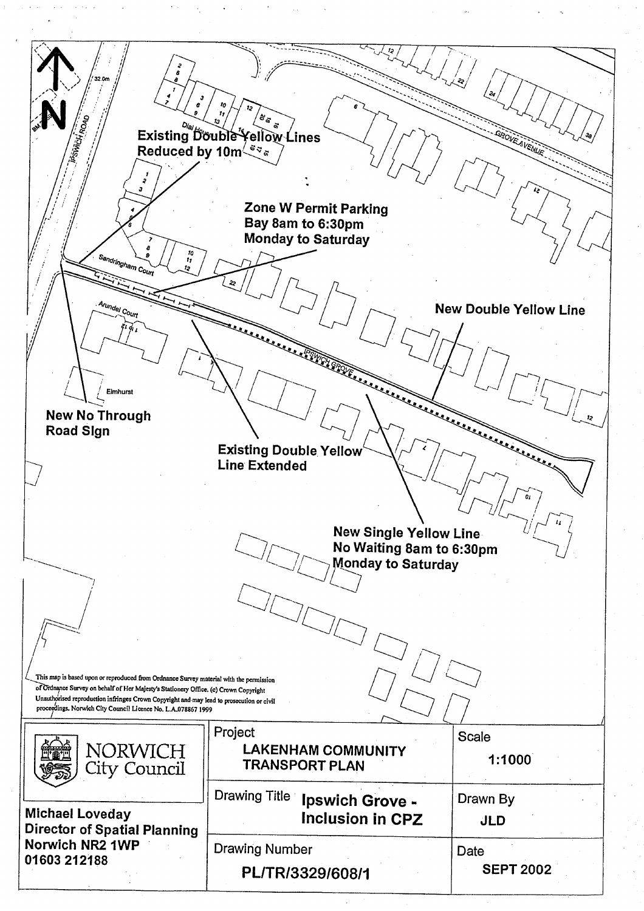2 32.0m *ij* e rr Existing Double Yellow Lines **AOVE** AVENUE Reduced by 10m $\frac{3}{2}$ ढ़ **Zone W Permit Parking Bay 8am to 6:30pm Monday to Saturday Sandringham Country of the Search of the Search of the Search of the Search of the Search of the Search of the Search of the Search of the Search of the Search of the Search of the Search of the Search of the Search of th** Arundel Co **New Double Yellow Line**  Existing Double Yellow **Charles Contract on the Contract of Contract on the Contract of Contract on the Contract of Contract on the Contract of Contract on the Contract of Contract on the Contract of Contract on the Contra Elmhurst** L. **New No Through Road Sign**  يستعيد **Line Extended New Single Yellow Line No Waiting 8am to 6:30pm**   $\cup'$  : **Monday to Saturday**   $^{\prime}$  / / This map is based upon or reproduced from Ordnance Survey material with the permission --.....\_ of Ordnarice Survey on behalf of Her Majesty's Stationery Office. (c) Crown Copyright Unauthorised reproduction infringes Crown Copyright and may lead to prosecution or civil proceedings. Norwich City Council Licence No. L.A.078867 1999 Project **Scale** NORWICH **LAKENHAM COMMUNITY 1:1000**  City Council **TRANSPORT PLAN**  Drawing Title **Ipswich Grove -**  Drawn By **Michael Loveday Inclusion in CPZ JLD Director of Spatial Planning Norwich NR2 1WP**  Drawing Number Date **01603 212188 SEPT 2002 PL1TR13329160811**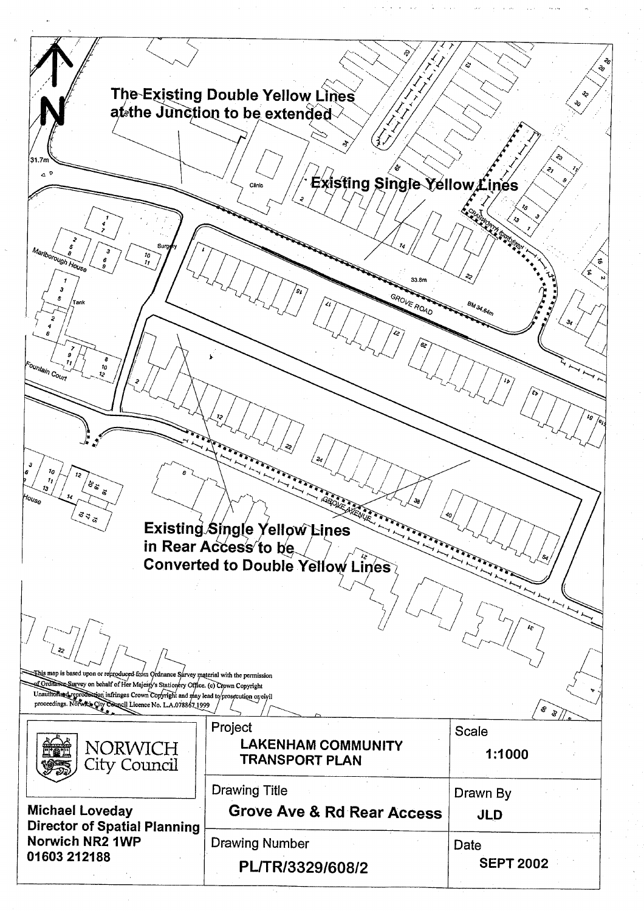The Existing Double Yellow Lines at the Junction to be extended  $\triangle^0$ Existing Single Yellow Lines **ROAD** ళిన  $\frac{3}{2}$ Existing Single Yellow Lines in Rear Access to be Converted to Double Yellow Lines Ehis map is based upon or reproduced-from  $\alpha$  or dnamce Survey material with the permission of Ordilance Survey on behalf of Her Majesty's Stationery Office. (c) Crown Copyright Unauffrom end profession infringes Crown Copyright and may lead to prosecution organization. సొ ৡ Project Scale **NORWICH LAKENHAM COMMUNITY** 1:1000 **TRANSPORT PLAN** City Council **Drawing Title** Drawn By **Michael Loveday Grove Ave & Rd Rear Access JLD Director of Spatial Planning** Norwich NR2 1WP **Drawing Number** Date 01603 212188 **SEPT 2002** PL/TR/3329/608/2